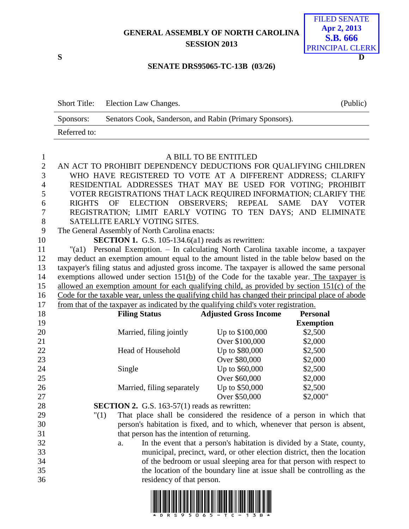# **GENERAL ASSEMBLY OF NORTH CAROLINA SESSION 2013**



#### **SENATE DRS95065-TC-13B (03/26)**

|              | Short Title: Election Law Changes.                      | (Public) |
|--------------|---------------------------------------------------------|----------|
| Sponsors:    | Senators Cook, Sanderson, and Rabin (Primary Sponsors). |          |
| Referred to: |                                                         |          |

| $\mathbf{1}$   | A BILL TO BE ENTITLED                                                                             |                              |                                    |  |  |
|----------------|---------------------------------------------------------------------------------------------------|------------------------------|------------------------------------|--|--|
| $\overline{2}$ | AN ACT TO PROHIBIT DEPENDENCY DEDUCTIONS FOR QUALIFYING CHILDREN                                  |                              |                                    |  |  |
| 3              | WHO HAVE REGISTERED TO VOTE AT A DIFFERENT ADDRESS; CLARIFY                                       |                              |                                    |  |  |
| $\overline{4}$ | RESIDENTIAL ADDRESSES THAT MAY BE USED FOR VOTING; PROHIBIT                                       |                              |                                    |  |  |
| 5              | VOTER REGISTRATIONS THAT LACK REQUIRED INFORMATION; CLARIFY THE                                   |                              |                                    |  |  |
| 6              | ELECTION OBSERVERS; REPEAL<br><b>RIGHTS</b><br><b>OF</b>                                          |                              | <b>SAME</b><br>DAY<br><b>VOTER</b> |  |  |
| 7              | REGISTRATION; LIMIT EARLY VOTING TO TEN DAYS; AND ELIMINATE                                       |                              |                                    |  |  |
| $8\,$          | SATELLITE EARLY VOTING SITES.                                                                     |                              |                                    |  |  |
| 9              | The General Assembly of North Carolina enacts:                                                    |                              |                                    |  |  |
| 10             | <b>SECTION 1.</b> G.S. 105-134.6(a1) reads as rewritten:                                          |                              |                                    |  |  |
| 11             | "(a1) Personal Exemption. - In calculating North Carolina taxable income, a taxpayer              |                              |                                    |  |  |
| 12             | may deduct an exemption amount equal to the amount listed in the table below based on the         |                              |                                    |  |  |
| 13             | taxpayer's filing status and adjusted gross income. The taxpayer is allowed the same personal     |                              |                                    |  |  |
| 14             | exemptions allowed under section $151(b)$ of the Code for the taxable year. The taxpayer is       |                              |                                    |  |  |
| 15             | allowed an exemption amount for each qualifying child, as provided by section 151(c) of the       |                              |                                    |  |  |
| 16             | Code for the taxable year, unless the qualifying child has changed their principal place of abode |                              |                                    |  |  |
| 17             | from that of the taxpayer as indicated by the qualifying child's voter registration.              |                              |                                    |  |  |
| 18             | <b>Filing Status</b>                                                                              | <b>Adjusted Gross Income</b> | <b>Personal</b>                    |  |  |
| 19             |                                                                                                   |                              | <b>Exemption</b>                   |  |  |
| 20             | Married, filing jointly                                                                           | Up to \$100,000              | \$2,500                            |  |  |
| 21             |                                                                                                   | Over \$100,000               | \$2,000                            |  |  |
| 22             | Head of Household                                                                                 | Up to \$80,000               | \$2,500                            |  |  |
| 23             |                                                                                                   | Over \$80,000                | \$2,000                            |  |  |
| 24             | Single                                                                                            | Up to \$60,000               | \$2,500                            |  |  |
| 25             |                                                                                                   | Over \$60,000                | \$2,000                            |  |  |
| 26             | Married, filing separately                                                                        | Up to \$50,000               | \$2,500                            |  |  |
| 27             |                                                                                                   | Over \$50,000                | \$2,000"                           |  |  |
| 28             | <b>SECTION 2.</b> G.S. 163-57(1) reads as rewritten:                                              |                              |                                    |  |  |

- "(1) That place shall be considered the residence of a person in which that person's habitation is fixed, and to which, whenever that person is absent, that person has the intention of returning.
- a. In the event that a person's habitation is divided by a State, county, municipal, precinct, ward, or other election district, then the location of the bedroom or usual sleeping area for that person with respect to the location of the boundary line at issue shall be controlling as the residency of that person.

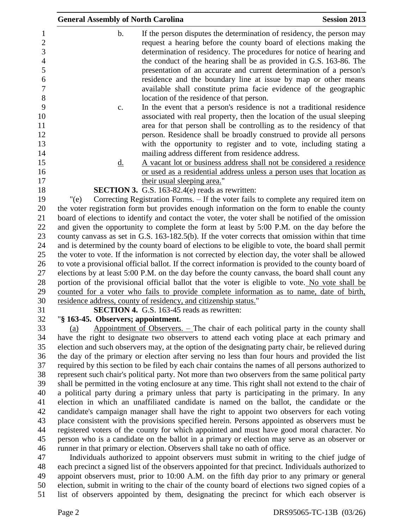| <b>General Assembly of North Carolina</b> |                                                                                                                                                                                                                                                                                                                                                                                                                                                                                                                                                                                                                                                                                                           | <b>Session 2013</b>                                                                                 |
|-------------------------------------------|-----------------------------------------------------------------------------------------------------------------------------------------------------------------------------------------------------------------------------------------------------------------------------------------------------------------------------------------------------------------------------------------------------------------------------------------------------------------------------------------------------------------------------------------------------------------------------------------------------------------------------------------------------------------------------------------------------------|-----------------------------------------------------------------------------------------------------|
| $b$ .                                     | If the person disputes the determination of residency, the person may<br>request a hearing before the county board of elections making the<br>determination of residency. The procedures for notice of hearing and<br>the conduct of the hearing shall be as provided in G.S. 163-86. The<br>presentation of an accurate and current determination of a person's<br>residence and the boundary line at issue by map or other means<br>available shall constitute prima facie evidence of the geographic<br>location of the residence of that person.                                                                                                                                                      |                                                                                                     |
| c.                                        | In the event that a person's residence is not a traditional residence<br>associated with real property, then the location of the usual sleeping<br>area for that person shall be controlling as to the residency of that<br>person. Residence shall be broadly construed to provide all persons<br>with the opportunity to register and to vote, including stating a<br>mailing address different from residence address.                                                                                                                                                                                                                                                                                 |                                                                                                     |
| <u>d.</u>                                 | A vacant lot or business address shall not be considered a residence                                                                                                                                                                                                                                                                                                                                                                                                                                                                                                                                                                                                                                      |                                                                                                     |
|                                           | or used as a residential address unless a person uses that location as                                                                                                                                                                                                                                                                                                                                                                                                                                                                                                                                                                                                                                    |                                                                                                     |
|                                           | their usual sleeping area."<br><b>SECTION 3.</b> G.S. 163-82.4(e) reads as rewritten:                                                                                                                                                                                                                                                                                                                                                                                                                                                                                                                                                                                                                     |                                                                                                     |
| " $(e)$                                   | Correcting Registration Forms. – If the voter fails to complete any required item on                                                                                                                                                                                                                                                                                                                                                                                                                                                                                                                                                                                                                      |                                                                                                     |
|                                           | the voter registration form but provides enough information on the form to enable the county                                                                                                                                                                                                                                                                                                                                                                                                                                                                                                                                                                                                              |                                                                                                     |
|                                           | board of elections to identify and contact the voter, the voter shall be notified of the omission                                                                                                                                                                                                                                                                                                                                                                                                                                                                                                                                                                                                         |                                                                                                     |
|                                           | and given the opportunity to complete the form at least by 5:00 P.M. on the day before the                                                                                                                                                                                                                                                                                                                                                                                                                                                                                                                                                                                                                |                                                                                                     |
|                                           | county canvass as set in G.S. 163-182.5(b). If the voter corrects that omission within that time                                                                                                                                                                                                                                                                                                                                                                                                                                                                                                                                                                                                          |                                                                                                     |
|                                           | and is determined by the county board of elections to be eligible to vote, the board shall permit                                                                                                                                                                                                                                                                                                                                                                                                                                                                                                                                                                                                         |                                                                                                     |
|                                           | the voter to vote. If the information is not corrected by election day, the voter shall be allowed                                                                                                                                                                                                                                                                                                                                                                                                                                                                                                                                                                                                        |                                                                                                     |
|                                           | to vote a provisional official ballot. If the correct information is provided to the county board of                                                                                                                                                                                                                                                                                                                                                                                                                                                                                                                                                                                                      |                                                                                                     |
|                                           | elections by at least 5:00 P.M. on the day before the county canvass, the board shall count any                                                                                                                                                                                                                                                                                                                                                                                                                                                                                                                                                                                                           |                                                                                                     |
|                                           | portion of the provisional official ballot that the voter is eligible to vote. No vote shall be                                                                                                                                                                                                                                                                                                                                                                                                                                                                                                                                                                                                           |                                                                                                     |
|                                           | counted for a voter who fails to provide complete information as to name, date of birth,                                                                                                                                                                                                                                                                                                                                                                                                                                                                                                                                                                                                                  |                                                                                                     |
|                                           | residence address, county of residency, and citizenship status."                                                                                                                                                                                                                                                                                                                                                                                                                                                                                                                                                                                                                                          |                                                                                                     |
|                                           | <b>SECTION 4.</b> G.S. 163-45 reads as rewritten:                                                                                                                                                                                                                                                                                                                                                                                                                                                                                                                                                                                                                                                         |                                                                                                     |
| "§ 163-45. Observers; appointment.        |                                                                                                                                                                                                                                                                                                                                                                                                                                                                                                                                                                                                                                                                                                           |                                                                                                     |
| (a)                                       | Appointment of Observers. $-$ The chair of each political party in the county shall<br>have the right to designate two observers to attend each voting place at each primary and<br>election and such observers may, at the option of the designating party chair, be relieved during<br>the day of the primary or election after serving no less than four hours and provided the list<br>required by this section to be filed by each chair contains the names of all persons authorized to<br>represent such chair's political party. Not more than two observers from the same political party<br>shall be permitted in the voting enclosure at any time. This right shall not extend to the chair of |                                                                                                     |
|                                           | a political party during a primary unless that party is participating in the primary. In any                                                                                                                                                                                                                                                                                                                                                                                                                                                                                                                                                                                                              |                                                                                                     |
|                                           | election in which an unaffiliated candidate is named on the ballot, the candidate or the                                                                                                                                                                                                                                                                                                                                                                                                                                                                                                                                                                                                                  |                                                                                                     |
|                                           | candidate's campaign manager shall have the right to appoint two observers for each voting                                                                                                                                                                                                                                                                                                                                                                                                                                                                                                                                                                                                                |                                                                                                     |
|                                           | place consistent with the provisions specified herein. Persons appointed as observers must be                                                                                                                                                                                                                                                                                                                                                                                                                                                                                                                                                                                                             |                                                                                                     |
|                                           | registered voters of the county for which appointed and must have good moral character. No                                                                                                                                                                                                                                                                                                                                                                                                                                                                                                                                                                                                                |                                                                                                     |
|                                           | person who is a candidate on the ballot in a primary or election may serve as an observer or                                                                                                                                                                                                                                                                                                                                                                                                                                                                                                                                                                                                              |                                                                                                     |
|                                           | runner in that primary or election. Observers shall take no oath of office.                                                                                                                                                                                                                                                                                                                                                                                                                                                                                                                                                                                                                               |                                                                                                     |
|                                           | Individuals authorized to appoint observers must submit in writing to the chief judge of                                                                                                                                                                                                                                                                                                                                                                                                                                                                                                                                                                                                                  |                                                                                                     |
|                                           |                                                                                                                                                                                                                                                                                                                                                                                                                                                                                                                                                                                                                                                                                                           | each precipct a signed list of the observers appointed for that precipct. Individuals authorized to |

 each precinct a signed list of the observers appointed for that precinct. Individuals authorized to appoint observers must, prior to 10:00 A.M. on the fifth day prior to any primary or general 50 election, submit in writing to the chair of the county board of elections two signed copies of a list of observers appointed by them, designating the precinct for which each observer is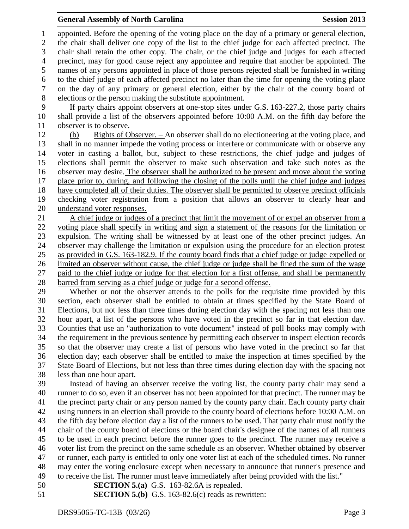## **General Assembly of North Carolina Session 2013**

 appointed. Before the opening of the voting place on the day of a primary or general election, the chair shall deliver one copy of the list to the chief judge for each affected precinct. The chair shall retain the other copy. The chair, or the chief judge and judges for each affected precinct, may for good cause reject any appointee and require that another be appointed. The names of any persons appointed in place of those persons rejected shall be furnished in writing to the chief judge of each affected precinct no later than the time for opening the voting place on the day of any primary or general election, either by the chair of the county board of elections or the person making the substitute appointment.

 If party chairs appoint observers at one-stop sites under G.S. 163-227.2, those party chairs shall provide a list of the observers appointed before 10:00 A.M. on the fifth day before the observer is to observe.

 (b) Rights of Observer. – An observer shall do no electioneering at the voting place, and shall in no manner impede the voting process or interfere or communicate with or observe any voter in casting a ballot, but, subject to these restrictions, the chief judge and judges of elections shall permit the observer to make such observation and take such notes as the observer may desire. The observer shall be authorized to be present and move about the voting place prior to, during, and following the closing of the polls until the chief judge and judges have completed all of their duties. The observer shall be permitted to observe precinct officials checking voter registration from a position that allows an observer to clearly hear and understand voter responses.

 A chief judge or judges of a precinct that limit the movement of or expel an observer from a voting place shall specify in writing and sign a statement of the reasons for the limitation or expulsion. The writing shall be witnessed by at least one of the other precinct judges. An observer may challenge the limitation or expulsion using the procedure for an election protest as provided in G.S. 163-182.9. If the county board finds that a chief judge or judge expelled or limited an observer without cause, the chief judge or judge shall be fined the sum of the wage paid to the chief judge or judge for that election for a first offense, and shall be permanently barred from serving as a chief judge or judge for a second offense.

 Whether or not the observer attends to the polls for the requisite time provided by this section, each observer shall be entitled to obtain at times specified by the State Board of Elections, but not less than three times during election day with the spacing not less than one hour apart, a list of the persons who have voted in the precinct so far in that election day. Counties that use an "authorization to vote document" instead of poll books may comply with the requirement in the previous sentence by permitting each observer to inspect election records so that the observer may create a list of persons who have voted in the precinct so far that election day; each observer shall be entitled to make the inspection at times specified by the State Board of Elections, but not less than three times during election day with the spacing not less than one hour apart.

 Instead of having an observer receive the voting list, the county party chair may send a runner to do so, even if an observer has not been appointed for that precinct. The runner may be the precinct party chair or any person named by the county party chair. Each county party chair using runners in an election shall provide to the county board of elections before 10:00 A.M. on the fifth day before election day a list of the runners to be used. That party chair must notify the chair of the county board of elections or the board chair's designee of the names of all runners to be used in each precinct before the runner goes to the precinct. The runner may receive a voter list from the precinct on the same schedule as an observer. Whether obtained by observer or runner, each party is entitled to only one voter list at each of the scheduled times. No runner may enter the voting enclosure except when necessary to announce that runner's presence and to receive the list. The runner must leave immediately after being provided with the list."

- **SECTION 5.(a)** G.S. 163-82.6A is repealed.
- **SECTION 5.(b)** G.S. 163-82.6(c) reads as rewritten: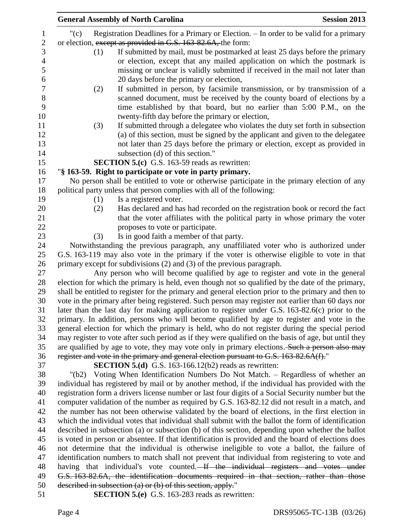| <b>General Assembly of North Carolina</b><br><b>Session 2013</b>                                     |
|------------------------------------------------------------------------------------------------------|
| Registration Deadlines for a Primary or Election. - In order to be valid for a primary<br>" $(c)$    |
| or election, except as provided in G.S. 163-82.6A, the form:                                         |
| If submitted by mail, must be postmarked at least 25 days before the primary<br>(1)                  |
| or election, except that any mailed application on which the postmark is                             |
| missing or unclear is validly submitted if received in the mail not later than                       |
| 20 days before the primary or election,                                                              |
| If submitted in person, by facsimile transmission, or by transmission of a<br>(2)                    |
| scanned document, must be received by the county board of elections by a                             |
| time established by that board, but no earlier than 5:00 P.M., on the                                |
| twenty-fifth day before the primary or election,                                                     |
|                                                                                                      |
| If submitted through a delegatee who violates the duty set forth in subsection<br>(3)                |
| (a) of this section, must be signed by the applicant and given to the delegatee                      |
| not later than 25 days before the primary or election, except as provided in                         |
| subsection (d) of this section."                                                                     |
| <b>SECTION 5.(c)</b> G.S. 163-59 reads as rewritten:                                                 |
| "§ 163-59. Right to participate or vote in party primary.                                            |
| No person shall be entitled to vote or otherwise participate in the primary election of any          |
| political party unless that person complies with all of the following:                               |
| Is a registered voter.<br>(1)                                                                        |
| Has declared and has had recorded on the registration book or record the fact<br>(2)                 |
| that the voter affiliates with the political party in whose primary the voter                        |
| proposes to vote or participate.                                                                     |
| Is in good faith a member of that party.<br>(3)                                                      |
| Notwithstanding the previous paragraph, any unaffiliated voter who is authorized under               |
| G.S. 163-119 may also vote in the primary if the voter is otherwise eligible to vote in that         |
| primary except for subdivisions $(2)$ and $(3)$ of the previous paragraph.                           |
| Any person who will become qualified by age to register and vote in the general                      |
| election for which the primary is held, even though not so qualified by the date of the primary,     |
| shall be entitled to register for the primary and general election prior to the primary and then to  |
| vote in the primary after being registered. Such person may register not earlier than 60 days nor    |
| later than the last day for making application to register under G.S. 163-82.6(c) prior to the       |
| primary. In addition, persons who will become qualified by age to register and vote in the           |
| general election for which the primary is held, who do not register during the special period        |
| may register to vote after such period as if they were qualified on the basis of age, but until they |
| are qualified by age to vote, they may vote only in primary elections. Such a person also may        |
| register and vote in the primary and general election pursuant to G.S. 163-82.6A(f)."                |
| <b>SECTION 5.(d)</b> G.S. 163-166.12(b2) reads as rewritten:                                         |
| Voting When Identification Numbers Do Not Match. – Regardless of whether an<br>"(b2)                 |
| individual has registered by mail or by another method, if the individual has provided with the      |
| registration form a drivers license number or last four digits of a Social Security number but the   |
| computer validation of the number as required by G.S. 163-82.12 did not result in a match, and       |
| the number has not been otherwise validated by the board of elections, in the first election in      |
| which the individual votes that individual shall submit with the ballot the form of identification   |
| described in subsection (a) or subsection (b) of this section, depending upon whether the ballot     |
| is voted in person or absentee. If that identification is provided and the board of elections does   |
| not determine that the individual is otherwise ineligible to vote a ballot, the failure of           |
| identification numbers to match shall not prevent that individual from registering to vote and       |
| having that individual's vote counted. If the individual registers and votes under                   |
| G.S. 163-82.6A, the identification documents required in that section, rather than those             |
| described in subsection (a) or (b) of this section, apply."                                          |
| <b>SECTION 5.(e)</b> G.S. 163-283 reads as rewritten:                                                |
|                                                                                                      |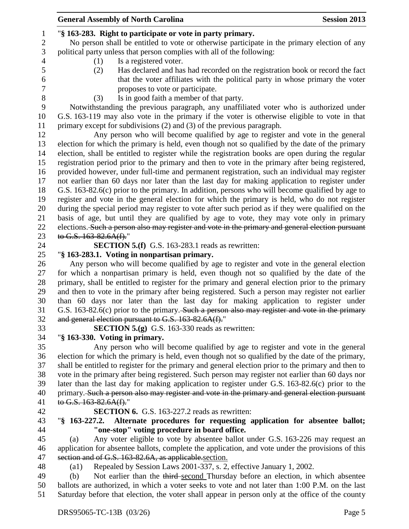|                  | <b>General Assembly of North Carolina</b>                                                                                       | <b>Session 2013</b> |
|------------------|---------------------------------------------------------------------------------------------------------------------------------|---------------------|
| $\mathbf{1}$     | "§ 163-283. Right to participate or vote in party primary.                                                                      |                     |
| $\boldsymbol{2}$ | No person shall be entitled to vote or otherwise participate in the primary election of any                                     |                     |
| $\mathfrak{Z}$   | political party unless that person complies with all of the following:                                                          |                     |
| $\overline{4}$   | Is a registered voter.<br>(1)                                                                                                   |                     |
| 5                | Has declared and has had recorded on the registration book or record the fact<br>(2)                                            |                     |
| 6                | that the voter affiliates with the political party in whose primary the voter                                                   |                     |
| $\overline{7}$   | proposes to vote or participate.                                                                                                |                     |
| 8                | Is in good faith a member of that party.                                                                                        |                     |
| 9                | (3)<br>Notwithstanding the previous paragraph, any unaffiliated voter who is authorized under                                   |                     |
| 10               |                                                                                                                                 |                     |
|                  | G.S. 163-119 may also vote in the primary if the voter is otherwise eligible to vote in that                                    |                     |
| 11               | primary except for subdivisions $(2)$ and $(3)$ of the previous paragraph.                                                      |                     |
| 12               | Any person who will become qualified by age to register and vote in the general                                                 |                     |
| 13               | election for which the primary is held, even though not so qualified by the date of the primary                                 |                     |
| 14               | election, shall be entitled to register while the registration books are open during the regular                                |                     |
| 15               | registration period prior to the primary and then to vote in the primary after being registered,                                |                     |
| 16               | provided however, under full-time and permanent registration, such an individual may register                                   |                     |
| 17               | not earlier than 60 days nor later than the last day for making application to register under                                   |                     |
| 18               | G.S. 163-82.6(c) prior to the primary. In addition, persons who will become qualified by age to                                 |                     |
| 19               | register and vote in the general election for which the primary is held, who do not register                                    |                     |
| 20               | during the special period may register to vote after such period as if they were qualified on the                               |                     |
| 21               | basis of age, but until they are qualified by age to vote, they may vote only in primary                                        |                     |
| 22               | elections. Such a person also may register and vote in the primary and general election pursuant                                |                     |
| 23               | to G.S. 163-82.6A(f)."                                                                                                          |                     |
| 24               | <b>SECTION 5.(f)</b> G.S. 163-283.1 reads as rewritten:                                                                         |                     |
| 25               | "§ 163-283.1. Voting in nonpartisan primary.                                                                                    |                     |
| 26               | Any person who will become qualified by age to register and vote in the general election                                        |                     |
| 27               | for which a nonpartisan primary is held, even though not so qualified by the date of the                                        |                     |
| 28               | primary, shall be entitled to register for the primary and general election prior to the primary                                |                     |
| 29               | and then to vote in the primary after being registered. Such a person may register not earlier                                  |                     |
| 30               | than 60 days nor later than the last day for making application to register under                                               |                     |
| 31               | G.S. 163-82.6(c) prior to the primary. Such a person also may register and vote in the primary                                  |                     |
| 32               | and general election pursuant to G.S. 163-82.6A(f)."                                                                            |                     |
| 33               | <b>SECTION 5.(g)</b> G.S. 163-330 reads as rewritten:                                                                           |                     |
| 34               | "§ 163-330. Voting in primary.                                                                                                  |                     |
| 35               | Any person who will become qualified by age to register and vote in the general                                                 |                     |
| 36               | election for which the primary is held, even though not so qualified by the date of the primary,                                |                     |
| 37               | shall be entitled to register for the primary and general election prior to the primary and then to                             |                     |
| 38               | vote in the primary after being registered. Such person may register not earlier than 60 days nor                               |                     |
| 39               | later than the last day for making application to register under G.S. 163-82.6(c) prior to the                                  |                     |
| 40               | primary. Such a person also may register and vote in the primary and general election pursuant                                  |                     |
| 41               | to G.S. $163-82.6A(f)$ ."                                                                                                       |                     |
| 42               | <b>SECTION 6.</b> G.S. 163-227.2 reads as rewritten:<br>$\sqrt{8}$ 163-227.2.                                                   |                     |
| 43<br>44         | Alternate procedures for requesting application for absentee ballot;                                                            |                     |
| 45               | "one-stop" voting procedure in board office.<br>Any voter eligible to vote by absentee ballot under G.S. 163-226 may request an |                     |
| 46               | (a)<br>application for absentee ballots, complete the application, and vote under the provisions of this                        |                     |
| 47               | section and of G.S. 163-82.6A, as applicable section.                                                                           |                     |
| 48               | Repealed by Session Laws 2001-337, s. 2, effective January 1, 2002.<br>$\left( a1\right)$                                       |                     |
| 49               | Not earlier than the third-second Thursday before an election, in which absentee<br>(b)                                         |                     |
| 50               | ballots are authorized, in which a voter seeks to vote and not later than 1:00 P.M. on the last                                 |                     |
| 51               | Saturday before that election, the voter shall appear in person only at the office of the county                                |                     |
|                  |                                                                                                                                 |                     |
|                  | DRS95065-TC-13B (03/26)                                                                                                         | Page 5              |
|                  |                                                                                                                                 |                     |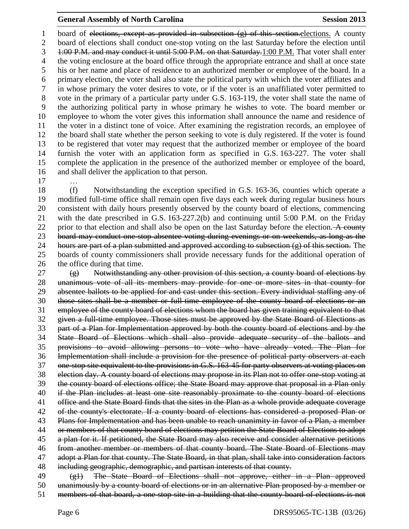#### **General Assembly of North Carolina Session 2013**

1 board of elections, except as provided in subsection (g) of this section-elections. A county board of elections shall conduct one-stop voting on the last Saturday before the election until 1:00 P.M. and may conduct it until 5:00 P.M. on that Saturday.1:00 P.M. That voter shall enter the voting enclosure at the board office through the appropriate entrance and shall at once state his or her name and place of residence to an authorized member or employee of the board. In a primary election, the voter shall also state the political party with which the voter affiliates and in whose primary the voter desires to vote, or if the voter is an unaffiliated voter permitted to vote in the primary of a particular party under G.S. 163-119, the voter shall state the name of the authorizing political party in whose primary he wishes to vote. The board member or employee to whom the voter gives this information shall announce the name and residence of the voter in a distinct tone of voice. After examining the registration records, an employee of the board shall state whether the person seeking to vote is duly registered. If the voter is found to be registered that voter may request that the authorized member or employee of the board furnish the voter with an application form as specified in G.S. 163-227. The voter shall complete the application in the presence of the authorized member or employee of the board, and shall deliver the application to that person.

…

 (f) Notwithstanding the exception specified in G.S. 163-36, counties which operate a modified full-time office shall remain open five days each week during regular business hours consistent with daily hours presently observed by the county board of elections, commencing with the date prescribed in G.S. 163-227.2(b) and continuing until 5:00 P.M. on the Friday 22 prior to that election and shall also be open on the last Saturday before the election. A county board may conduct one-stop absentee voting during evenings or on weekends, as long as the 24 hours are part of a plan submitted and approved according to subsection  $(g)$  of this section. The boards of county commissioners shall provide necessary funds for the additional operation of the office during that time.

 (g) Notwithstanding any other provision of this section, a county board of elections by unanimous vote of all its members may provide for one or more sites in that county for absentee ballots to be applied for and cast under this section. Every individual staffing any of those sites shall be a member or full-time employee of the county board of elections or an employee of the county board of elections whom the board has given training equivalent to that given a full-time employee. Those sites must be approved by the State Board of Elections as part of a Plan for Implementation approved by both the county board of elections and by the State Board of Elections which shall also provide adequate security of the ballots and provisions to avoid allowing persons to vote who have already voted. The Plan for Implementation shall include a provision for the presence of political party observers at each one-stop site equivalent to the provisions in G.S. 163-45 for party observers at voting places on election day. A county board of elections may propose in its Plan not to offer one-stop voting at the county board of elections office; the State Board may approve that proposal in a Plan only if the Plan includes at least one site reasonably proximate to the county board of elections office and the State Board finds that the sites in the Plan as a whole provide adequate coverage of the county's electorate. If a county board of elections has considered a proposed Plan or 43 Plans for Implementation and has been unable to reach unanimity in favor of a Plan, a member 44 or members of that county board of elections may petition the State Board of Elections to adopt a plan for it. If petitioned, the State Board may also receive and consider alternative petitions from another member or members of that county board. The State Board of Elections may adopt a Plan for that county. The State Board, in that plan, shall take into consideration factors including geographic, demographic, and partisan interests of that county. 49 (g1) The State Board of Elections shall not approve, either in a Plan approved

unanimously by a county board of elections or in an alternative Plan proposed by a member or